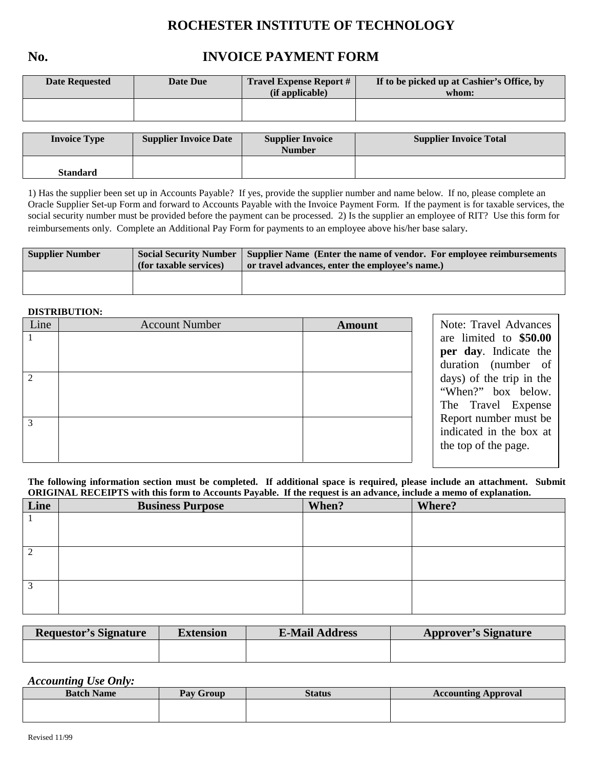# **ROCHESTER INSTITUTE OF TECHNOLOGY**

## **No. INVOICE PAYMENT FORM**

| <b>Date Requested</b> | Date Due | <b>Travel Expense Report #</b><br>(if applicable) | If to be picked up at Cashier's Office, by<br>whom: |
|-----------------------|----------|---------------------------------------------------|-----------------------------------------------------|
|                       |          |                                                   |                                                     |
|                       |          |                                                   |                                                     |

| <b>Invoice Type</b> | <b>Supplier Invoice Date</b> | <b>Supplier Invoice</b><br><b>Number</b> | <b>Supplier Invoice Total</b> |
|---------------------|------------------------------|------------------------------------------|-------------------------------|
| <b>Standard</b>     |                              |                                          |                               |

1) Has the supplier been set up in Accounts Payable? If yes, provide the supplier number and name below. If no, please complete an Oracle Supplier Set-up Form and forward to Accounts Payable with the Invoice Payment Form. If the payment is for taxable services, the social security number must be provided before the payment can be processed. 2) Is the supplier an employee of RIT? Use this form for reimbursements only. Complete an Additional Pay Form for payments to an employee above his/her base salary.

| <b>Supplier Number</b> | <b>Social Security Number</b><br>(for taxable services) | Supplier Name (Enter the name of vendor. For employee reimbursements)<br>or travel advances, enter the employee's name.) |
|------------------------|---------------------------------------------------------|--------------------------------------------------------------------------------------------------------------------------|
|                        |                                                         |                                                                                                                          |

#### **DISTRIBUTION:**

| Line           | <b>Account Number</b> | <b>Amount</b> | Note: Travel Advances                                                                                                                            |
|----------------|-----------------------|---------------|--------------------------------------------------------------------------------------------------------------------------------------------------|
|                |                       |               | are limited to \$50.00<br>per day. Indicate the<br>duration (number of                                                                           |
| $\mathfrak{D}$ |                       |               | days) of the trip in the<br>"When?" box below.<br>The Travel Expense<br>Report number must be<br>indicated in the box at<br>the top of the page. |
| 3              |                       |               |                                                                                                                                                  |

**The following information section must be completed. If additional space is required, please include an attachment. Submit ORIGINAL RECEIPTS with this form to Accounts Payable. If the request is an advance, include a memo of explanation.**

| Line | <b>Business Purpose</b> | When? | Where? |
|------|-------------------------|-------|--------|
|      |                         |       |        |
|      |                         |       |        |
| 2    |                         |       |        |
|      |                         |       |        |
| 3    |                         |       |        |
|      |                         |       |        |

| <b>Requestor's Signature</b> | <b>Extension</b> | <b>E-Mail Address</b> | <b>Approver's Signature</b> |
|------------------------------|------------------|-----------------------|-----------------------------|
|                              |                  |                       |                             |
|                              |                  |                       |                             |

#### *Accounting Use Only:*

| <b>Batch Name</b> | Pay Group | Status | <b>Accounting Approval</b> |
|-------------------|-----------|--------|----------------------------|
|                   |           |        |                            |
|                   |           |        |                            |